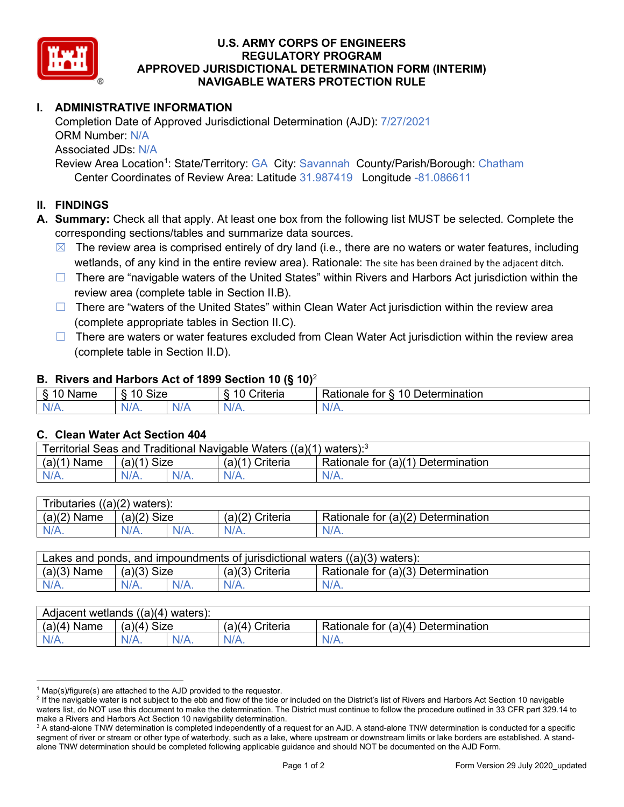

# **U.S. ARMY CORPS OF ENGINEERS REGULATORY PROGRAM APPROVED JURISDICTIONAL DETERMINATION FORM (INTERIM) NAVIGABLE WATERS PROTECTION RULE**

# **I. ADMINISTRATIVE INFORMATION**

 Completion Date of Approved Jurisdictional Determination (AJD): 7/27/2021 ORM Number: N/A Associated JDs: N/A Review Area Location<sup>1</sup>: State/Territory: GA City: Savannah County/Parish/Borough: Chatham Center Coordinates of Review Area: Latitude 31.987419 Longitude -81.086611

### **II. FINDINGS**

- **A. Summary:** Check all that apply. At least one box from the following list MUST be selected. Complete the corresponding sections/tables and summarize data sources.
	- $\boxtimes$  The review area is comprised entirely of dry land (i.e., there are no waters or water features, including wetlands, of any kind in the entire review area). Rationale: The site has been drained by the adjacent ditch.
	- □ There are "navigable waters of the United States" within Rivers and Harbors Act jurisdiction within the review area (complete table in Section II.B).
	- □ There are "waters of the United States" within Clean Water Act jurisdiction within the review area (complete appropriate tables in Section II.C).
	- □ There are waters or water features excluded from Clean Water Act jurisdiction within the review area (complete table in Section II.D).

#### **B. Rivers and Harbors Act of 1899 Section 10 (§ 10)**<sup>2</sup>

| ⌒<br>.<br>6<br>не<br>w<br>o<br>. . | $\sim$<br>10<br>≏יי<br>oize |      | . .<br>-<br>:riteri | -<br>$\overline{A}$ $\overline{C}$<br>-<br>mination<br>tor<br>------<br>`ם (<br>:ionaie<br>TAN<br>- |
|------------------------------------|-----------------------------|------|---------------------|-----------------------------------------------------------------------------------------------------|
| N.                                 | 'NL.                        | N    | . .                 | W                                                                                                   |
| $\mathbf{u}$                       |                             | `N/z | .                   | <b>MII A.</b>                                                                                       |

#### **C. Clean Water Act Section 404**

| Territorial Seas and Traditional Navigable Waters $((a)(1)$ waters): <sup>3</sup> |               |  |                   |                                    |  |
|-----------------------------------------------------------------------------------|---------------|--|-------------------|------------------------------------|--|
| (a)(1)<br>Name                                                                    | $(a)(1)$ Size |  | $(a)(1)$ Criteria | Rationale for (a)(1) Determination |  |
|                                                                                   | $N/A$ .       |  | $N/A$ .           | $N/A$ .                            |  |
|                                                                                   |               |  |                   |                                    |  |

| Tributaries $((a)(2)$ waters): |               |         |                 |                                    |  |
|--------------------------------|---------------|---------|-----------------|------------------------------------|--|
| $(a)(2)$ Name                  | $(a)(2)$ Size |         | (a)(2) Criteria | Rationale for (a)(2) Determination |  |
| $N/A$ .                        | $N/A$ .       | $N/A$ . | $N/A$ .         | $N/A$ .                            |  |
|                                |               |         |                 |                                    |  |

| Lakes and ponds, and impoundments of jurisdictional waters $((a)(3)$ waters): |               |         |                   |                                    |  |
|-------------------------------------------------------------------------------|---------------|---------|-------------------|------------------------------------|--|
| $(a)(3)$ Name                                                                 | $(a)(3)$ Size |         | $(a)(3)$ Criteria | Rationale for (a)(3) Determination |  |
| $N/A$ .                                                                       |               | $N/A$ . | $N/A$ .           | $N/A$ .                            |  |

| $(a)(4)$ Name<br><b>Size</b><br>(a)(4)<br>Rationale for (a)(4) Determination<br>(a)(4) Criteria | Adjacent wetlands $((a)(4)$ waters): |      |         |         |         |  |
|-------------------------------------------------------------------------------------------------|--------------------------------------|------|---------|---------|---------|--|
|                                                                                                 |                                      |      |         |         |         |  |
|                                                                                                 | N/A.                                 | N/A. | $N/A$ . | $N/A$ . | $N/A$ . |  |

 $1$  Map(s)/figure(s) are attached to the AJD provided to the requestor.

<sup>&</sup>lt;sup>2</sup> If the navigable water is not subject to the ebb and flow of the tide or included on the District's list of Rivers and Harbors Act Section 10 navigable waters list, do NOT use this document to make the determination. The District must continue to follow the procedure outlined in 33 CFR part 329.14 to make a Rivers and Harbors Act Section 10 navigability determination.

 $^3$  A stand-alone TNW determination is completed independently of a request for an AJD. A stand-alone TNW determination is conducted for a specific segment of river or stream or other type of waterbody, such as a lake, where upstream or downstream limits or lake borders are established. A standalone TNW determination should be completed following applicable guidance and should NOT be documented on the AJD Form.